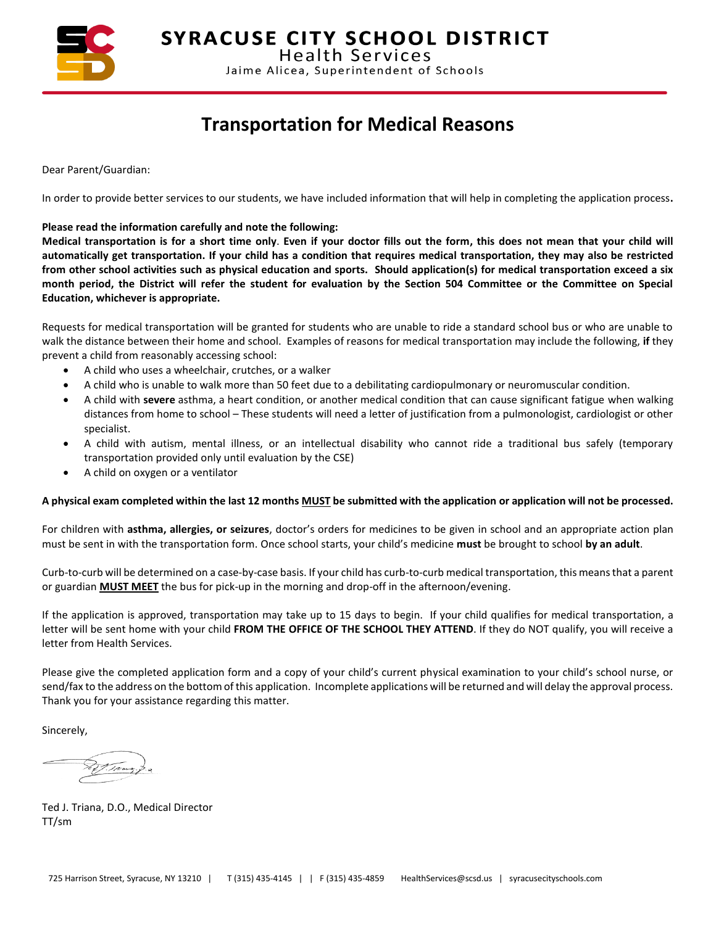

**SYRACUSE CITY SCHOOL DISTRICT** 

**Health Services** Jaime Alicea, Superintendent of Schools

## **Transportation for Medical Reasons**

Dear Parent/Guardian:

In order to provide better services to our students, we have included information that will help in completing the application process**.** 

**Please read the information carefully and note the following:**

**Medical transportation is for a short time only**. **Even if your doctor fills out the form, this does not mean that your child will automatically get transportation. If your child has a condition that requires medical transportation, they may also be restricted from other school activities such as physical education and sports. Should application(s) for medical transportation exceed a six month period, the District will refer the student for evaluation by the Section 504 Committee or the Committee on Special Education, whichever is appropriate.**

Requests for medical transportation will be granted for students who are unable to ride a standard school bus or who are unable to walk the distance between their home and school. Examples of reasons for medical transportation may include the following, **if** they prevent a child from reasonably accessing school:

- A child who uses a wheelchair, crutches, or a walker
- A child who is unable to walk more than 50 feet due to a debilitating cardiopulmonary or neuromuscular condition.
- A child with **severe** asthma, a heart condition, or another medical condition that can cause significant fatigue when walking distances from home to school – These students will need a letter of justification from a pulmonologist, cardiologist or other specialist.
- A child with autism, mental illness, or an intellectual disability who cannot ride a traditional bus safely (temporary transportation provided only until evaluation by the CSE)
- A child on oxygen or a ventilator

#### **A physical exam completed within the last 12 months MUST be submitted with the application or application will not be processed.**

For children with **asthma, allergies, or seizures**, doctor's orders for medicines to be given in school and an appropriate action plan must be sent in with the transportation form. Once school starts, your child's medicine **must** be brought to school **by an adult**.

Curb-to-curb will be determined on a case-by-case basis. If your child has curb-to-curb medical transportation, this means that a parent or guardian **MUST MEET** the bus for pick-up in the morning and drop-off in the afternoon/evening.

If the application is approved, transportation may take up to 15 days to begin. If your child qualifies for medical transportation, a letter will be sent home with your child **FROM THE OFFICE OF THE SCHOOL THEY ATTEND**. If they do NOT qualify, you will receive a letter from Health Services.

Please give the completed application form and a copy of your child's current physical examination to your child's school nurse, or send/fax to the address on the bottom of this application. Incomplete applications will be returned and will delay the approval process. Thank you for your assistance regarding this matter.

Sincerely,

Ted J. Triana, D.O., Medical Director TT/sm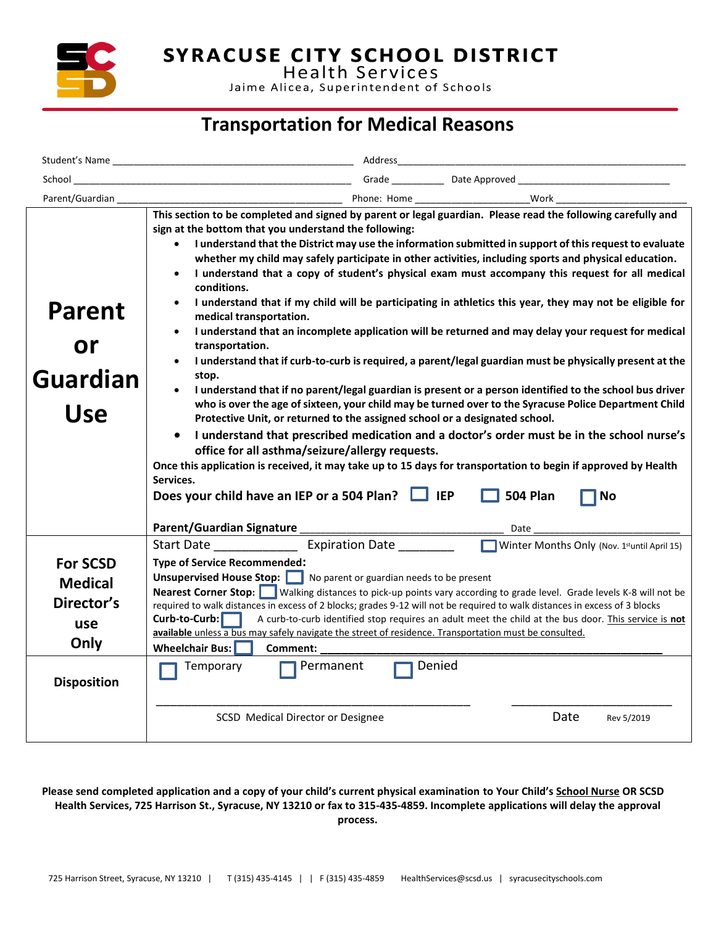

**SYRACUSE CITY SCHOOL DISTRICT**<br>Health Services

Jaime Alicea, Superintendent of Schools

## **Transportation for Medical Reasons**

|                                        | Address                                                                                                                                                                                                                                                                                                                                                                                                                                                                                                                                                                                                                                                                                                                                                                                                                                                                                                                                                                                                                                                                                                                                                                                                                                                                                                                                                                                                                                                                                                 |  |  |  |  |  |
|----------------------------------------|---------------------------------------------------------------------------------------------------------------------------------------------------------------------------------------------------------------------------------------------------------------------------------------------------------------------------------------------------------------------------------------------------------------------------------------------------------------------------------------------------------------------------------------------------------------------------------------------------------------------------------------------------------------------------------------------------------------------------------------------------------------------------------------------------------------------------------------------------------------------------------------------------------------------------------------------------------------------------------------------------------------------------------------------------------------------------------------------------------------------------------------------------------------------------------------------------------------------------------------------------------------------------------------------------------------------------------------------------------------------------------------------------------------------------------------------------------------------------------------------------------|--|--|--|--|--|
| School                                 |                                                                                                                                                                                                                                                                                                                                                                                                                                                                                                                                                                                                                                                                                                                                                                                                                                                                                                                                                                                                                                                                                                                                                                                                                                                                                                                                                                                                                                                                                                         |  |  |  |  |  |
| Parent/Guardian                        |                                                                                                                                                                                                                                                                                                                                                                                                                                                                                                                                                                                                                                                                                                                                                                                                                                                                                                                                                                                                                                                                                                                                                                                                                                                                                                                                                                                                                                                                                                         |  |  |  |  |  |
| Parent<br>or<br>Guardian<br><b>Use</b> | sign at the bottom that you understand the following:<br>I understand that the District may use the information submitted in support of this request to evaluate<br>$\bullet$<br>whether my child may safely participate in other activities, including sports and physical education.<br>I understand that a copy of student's physical exam must accompany this request for all medical<br>$\bullet$<br>conditions.<br>I understand that if my child will be participating in athletics this year, they may not be eligible for<br>medical transportation.<br>I understand that an incomplete application will be returned and may delay your request for medical<br>$\bullet$<br>transportation.<br>I understand that if curb-to-curb is required, a parent/legal guardian must be physically present at the<br>stop.<br>I understand that if no parent/legal guardian is present or a person identified to the school bus driver<br>who is over the age of sixteen, your child may be turned over to the Syracuse Police Department Child<br>Protective Unit, or returned to the assigned school or a designated school.<br>$\bullet$<br>I understand that prescribed medication and a doctor's order must be in the school nurse's<br>office for all asthma/seizure/allergy requests.<br>Once this application is received, it may take up to 15 days for transportation to begin if approved by Health<br>Services.<br>Does your child have an IEP or a 504 Plan?<br><b>504 Plan</b><br><b>No</b> |  |  |  |  |  |
|                                        | Start Date __________________ Expiration Date<br>Winter Months Only (Nov. 1st until April 15)                                                                                                                                                                                                                                                                                                                                                                                                                                                                                                                                                                                                                                                                                                                                                                                                                                                                                                                                                                                                                                                                                                                                                                                                                                                                                                                                                                                                           |  |  |  |  |  |
| <b>For SCSD</b>                        | <b>Type of Service Recommended:</b><br><b>Unsupervised House Stop:</b> No parent or guardian needs to be present                                                                                                                                                                                                                                                                                                                                                                                                                                                                                                                                                                                                                                                                                                                                                                                                                                                                                                                                                                                                                                                                                                                                                                                                                                                                                                                                                                                        |  |  |  |  |  |
| <b>Medical</b>                         | Nearest Corner Stop: Walking distances to pick-up points vary according to grade level. Grade levels K-8 will not be                                                                                                                                                                                                                                                                                                                                                                                                                                                                                                                                                                                                                                                                                                                                                                                                                                                                                                                                                                                                                                                                                                                                                                                                                                                                                                                                                                                    |  |  |  |  |  |
| Director's                             | required to walk distances in excess of 2 blocks; grades 9-12 will not be required to walk distances in excess of 3 blocks<br>Curb-to-Curb:<br>A curb-to-curb identified stop requires an adult meet the child at the bus door. This service is not                                                                                                                                                                                                                                                                                                                                                                                                                                                                                                                                                                                                                                                                                                                                                                                                                                                                                                                                                                                                                                                                                                                                                                                                                                                     |  |  |  |  |  |
| use<br>Only                            | available unless a bus may safely navigate the street of residence. Transportation must be consulted.                                                                                                                                                                                                                                                                                                                                                                                                                                                                                                                                                                                                                                                                                                                                                                                                                                                                                                                                                                                                                                                                                                                                                                                                                                                                                                                                                                                                   |  |  |  |  |  |
|                                        | <b>Wheelchair Bus:</b><br>Comment:                                                                                                                                                                                                                                                                                                                                                                                                                                                                                                                                                                                                                                                                                                                                                                                                                                                                                                                                                                                                                                                                                                                                                                                                                                                                                                                                                                                                                                                                      |  |  |  |  |  |
| <b>Disposition</b>                     | Denied<br>Permanent<br>Temporary<br>Date<br>SCSD Medical Director or Designee<br>Rev 5/2019                                                                                                                                                                                                                                                                                                                                                                                                                                                                                                                                                                                                                                                                                                                                                                                                                                                                                                                                                                                                                                                                                                                                                                                                                                                                                                                                                                                                             |  |  |  |  |  |

**Please send completed application and a copy of your child's current physical examination to Your Child's School Nurse OR SCSD Health Services, 725 Harrison St., Syracuse, NY 13210 or fax to 315-435-4859. Incomplete applications will delay the approval process.**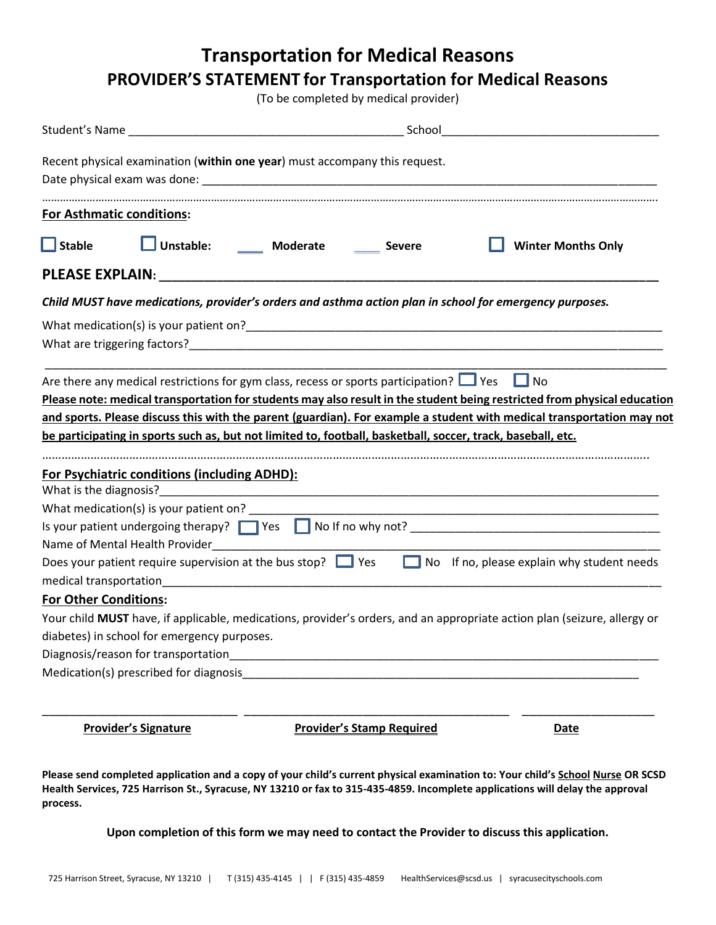**Transportation for Medical Reasons**

### **PROVIDER'S STATEMENT for Transportation for Medical Reasons**

(To be completed by medical provider)

| Recent physical examination (within one year) must accompany this request.                                                                            |                                        |                                                                                                             |                                  |  |                                                                                                                          |  |  |
|-------------------------------------------------------------------------------------------------------------------------------------------------------|----------------------------------------|-------------------------------------------------------------------------------------------------------------|----------------------------------|--|--------------------------------------------------------------------------------------------------------------------------|--|--|
| <b>For Asthmatic conditions:</b>                                                                                                                      |                                        |                                                                                                             |                                  |  |                                                                                                                          |  |  |
| $\Box$ Stable                                                                                                                                         |                                        | Unstable: Moderate                                                                                          | <b>Severe</b>                    |  | <b>Winter Months Only</b>                                                                                                |  |  |
|                                                                                                                                                       |                                        |                                                                                                             |                                  |  |                                                                                                                          |  |  |
| Child MUST have medications, provider's orders and asthma action plan in school for emergency purposes.                                               |                                        |                                                                                                             |                                  |  |                                                                                                                          |  |  |
|                                                                                                                                                       |                                        |                                                                                                             |                                  |  |                                                                                                                          |  |  |
|                                                                                                                                                       |                                        | Are there any medical restrictions for gym class, recess or sports participation? $\Box$ Yes $\Box$ No      |                                  |  |                                                                                                                          |  |  |
|                                                                                                                                                       |                                        |                                                                                                             |                                  |  | Please note: medical transportation for students may also result in the student being restricted from physical education |  |  |
|                                                                                                                                                       |                                        |                                                                                                             |                                  |  | and sports. Please discuss this with the parent (guardian). For example a student with medical transportation may not    |  |  |
|                                                                                                                                                       |                                        | be participating in sports such as, but not limited to, football, basketball, soccer, track, baseball, etc. |                                  |  |                                                                                                                          |  |  |
|                                                                                                                                                       |                                        |                                                                                                             |                                  |  |                                                                                                                          |  |  |
| <b>For Psychiatric conditions (including ADHD):</b>                                                                                                   |                                        |                                                                                                             |                                  |  |                                                                                                                          |  |  |
|                                                                                                                                                       |                                        |                                                                                                             |                                  |  |                                                                                                                          |  |  |
|                                                                                                                                                       |                                        |                                                                                                             |                                  |  |                                                                                                                          |  |  |
|                                                                                                                                                       |                                        |                                                                                                             |                                  |  |                                                                                                                          |  |  |
| Name of Mental Health Provider<br>Does your patient require supervision at the bus stop? $\Box$ Yes $\Box$ No If no, please explain why student needs |                                        |                                                                                                             |                                  |  |                                                                                                                          |  |  |
|                                                                                                                                                       |                                        |                                                                                                             |                                  |  |                                                                                                                          |  |  |
| <b>For Other Conditions:</b>                                                                                                                          |                                        |                                                                                                             |                                  |  |                                                                                                                          |  |  |
|                                                                                                                                                       |                                        |                                                                                                             |                                  |  | Your child MUST have, if applicable, medications, provider's orders, and an appropriate action plan (seizure, allergy or |  |  |
| diabetes) in school for emergency purposes.                                                                                                           |                                        |                                                                                                             |                                  |  |                                                                                                                          |  |  |
|                                                                                                                                                       | Diagnosis/reason for transportation    |                                                                                                             |                                  |  |                                                                                                                          |  |  |
|                                                                                                                                                       | Medication(s) prescribed for diagnosis |                                                                                                             |                                  |  |                                                                                                                          |  |  |
|                                                                                                                                                       | <b>Provider's Signature</b>            |                                                                                                             | <b>Provider's Stamp Required</b> |  | <b>Date</b>                                                                                                              |  |  |

**Please send completed application and a copy of your child's current physical examination to: Your child's School Nurse OR SCSD Health Services, 725 Harrison St., Syracuse, NY 13210 or fax to 315-435-4859. Incomplete applications will delay the approval process.**

**Upon completion of this form we may need to contact the Provider to discuss this application.**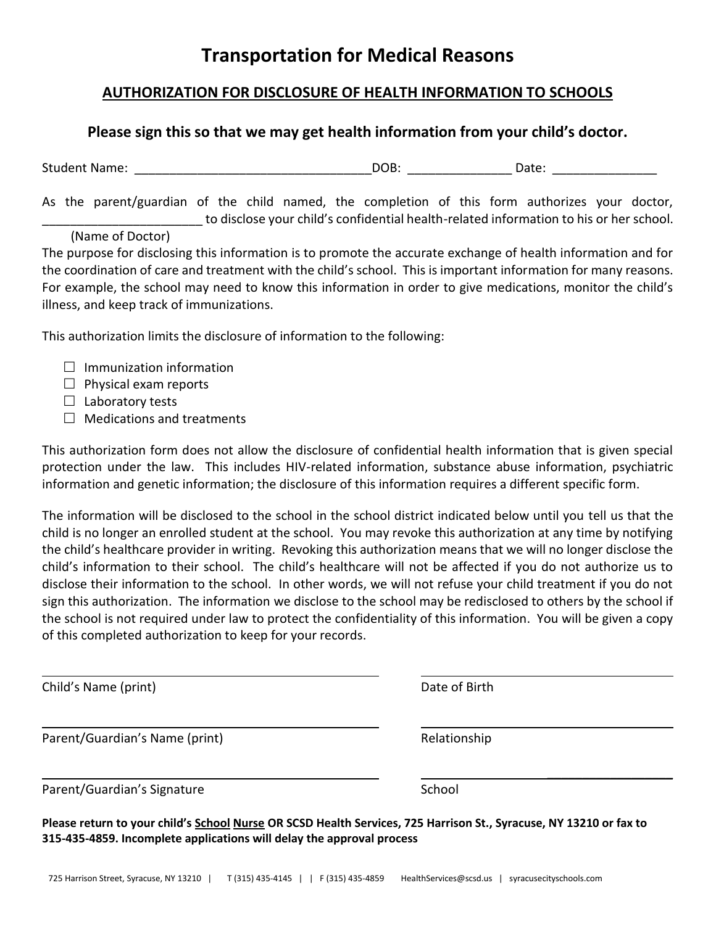### **Transportation for Medical Reasons**

#### **AUTHORIZATION FOR DISCLOSURE OF HEALTH INFORMATION TO SCHOOLS**

#### **Please sign this so that we may get health information from your child's doctor.**

Student Name: etc. All and the student Name: the Student Name: etc. All and the Student Name:  $DOB$ :

As the parent/guardian of the child named, the completion of this form authorizes your doctor, to disclose your child's confidential health-related information to his or her school.

#### (Name of Doctor)

The purpose for disclosing this information is to promote the accurate exchange of health information and for the coordination of care and treatment with the child's school. This is important information for many reasons. For example, the school may need to know this information in order to give medications, monitor the child's illness, and keep track of immunizations.

This authorization limits the disclosure of information to the following:

- $\Box$  Immunization information
- $\Box$  Physical exam reports
- $\Box$  Laboratory tests
- $\Box$  Medications and treatments

This authorization form does not allow the disclosure of confidential health information that is given special protection under the law. This includes HIV-related information, substance abuse information, psychiatric information and genetic information; the disclosure of this information requires a different specific form.

The information will be disclosed to the school in the school district indicated below until you tell us that the child is no longer an enrolled student at the school. You may revoke this authorization at any time by notifying the child's healthcare provider in writing. Revoking this authorization means that we will no longer disclose the child's information to their school. The child's healthcare will not be affected if you do not authorize us to disclose their information to the school. In other words, we will not refuse your child treatment if you do not sign this authorization. The information we disclose to the school may be redisclosed to others by the school if the school is not required under law to protect the confidentiality of this information. You will be given a copy of this completed authorization to keep for your records.

Child's Name (print) Date of Birth

Parent/Guardian's Name (print) Relationship

 $\frac{1}{2}$  ,  $\frac{1}{2}$  ,  $\frac{1}{2}$  ,  $\frac{1}{2}$  ,  $\frac{1}{2}$  ,  $\frac{1}{2}$  ,  $\frac{1}{2}$  ,  $\frac{1}{2}$  ,  $\frac{1}{2}$  ,  $\frac{1}{2}$ 

Parent/Guardian's Signature School School

**Please return to your child's School Nurse OR SCSD Health Services, 725 Harrison St., Syracuse, NY 13210 or fax to 315-435-4859. Incomplete applications will delay the approval process**